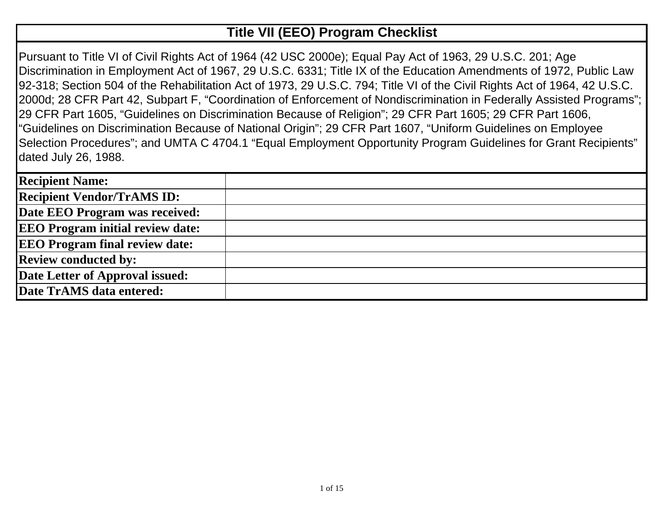## **Title VII (EEO) Program Checklist**

Pursuant to Title VI of Civil Rights Act of 1964 (42 USC 2000e); Equal Pay Act of 1963, 29 U.S.C. 201; Age Discrimination in Employment Act of 1967, 29 U.S.C. 6331; Title IX of the Education Amendments of 1972, Public Law 92-318; Section 504 of the Rehabilitation Act of 1973, 29 U.S.C. 794; Title VI of the Civil Rights Act of 1964, 42 U.S.C. 2000d; 28 CFR Part 42, Subpart F, "Coordination of Enforcement of Nondiscrimination in Federally Assisted Programs"; 29 CFR Part 1605, "Guidelines on Discrimination Because of Religion"; 29 CFR Part 1605; 29 CFR Part 1606, "Guidelines on Discrimination Because of National Origin"; 29 CFR Part 1607, "Uniform Guidelines on Employee Selection Procedures"; and UMTA C 4704.1 "Equal Employment Opportunity Program Guidelines for Grant Recipients" dated July 26, 1988.

| <b>Recipient Name:</b>                  |  |
|-----------------------------------------|--|
| <b>Recipient Vendor/TrAMS ID:</b>       |  |
| Date EEO Program was received:          |  |
| <b>EEO Program initial review date:</b> |  |
| <b>EEO Program final review date:</b>   |  |
| <b>Review conducted by:</b>             |  |
| Date Letter of Approval issued:         |  |
| Date TrAMS data entered:                |  |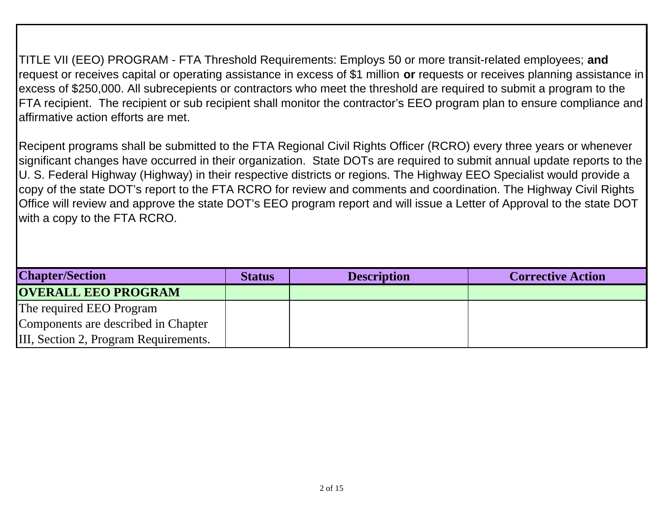TITLE VII (EEO) PROGRAM - FTA Threshold Requirements: Employs 50 or more transit-related employees; **and**  request or receives capital or operating assistance in excess of \$1 million **or** requests or receives planning assistance in excess of \$250,000. All subrecepients or contractors who meet the threshold are required to submit a program to the FTA recipient. The recipient or sub recipient shall monitor the contractor's EEO program plan to ensure compliance and affirmative action efforts are met.

Recipent programs shall be submitted to the FTA Regional Civil Rights Officer (RCRO) every three years or whenever significant changes have occurred in their organization. State DOTs are required to submit annual update reports to the U. S. Federal Highway (Highway) in their respective districts or regions. The Highway EEO Specialist would provide a copy of the state DOT's report to the FTA RCRO for review and comments and coordination. The Highway Civil Rights Office will review and approve the state DOT's EEO program report and will issue a Letter of Approval to the state DOT with a copy to the FTA RCRO.

| <b>Chapter/Section</b>                | <b>Status</b> | <b>Description</b> | <b>Corrective Action</b> |
|---------------------------------------|---------------|--------------------|--------------------------|
| <b>OVERALL EEO PROGRAM</b>            |               |                    |                          |
| The required EEO Program              |               |                    |                          |
| Components are described in Chapter   |               |                    |                          |
| III, Section 2, Program Requirements. |               |                    |                          |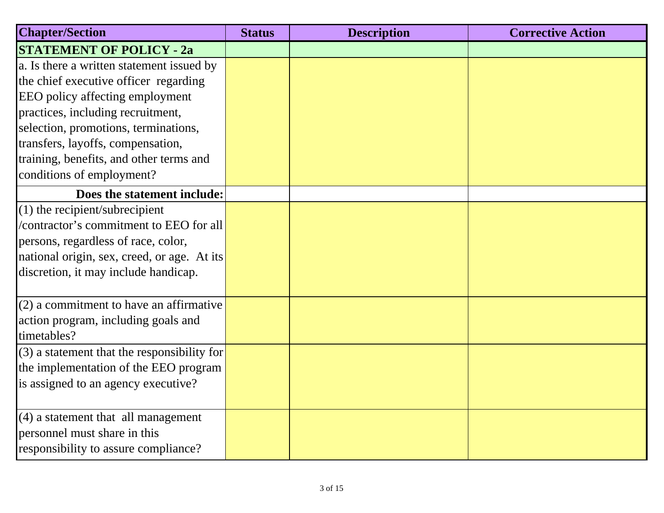| <b>Chapter/Section</b>                        | <b>Status</b> | <b>Description</b> | <b>Corrective Action</b> |
|-----------------------------------------------|---------------|--------------------|--------------------------|
| <b>STATEMENT OF POLICY - 2a</b>               |               |                    |                          |
| a. Is there a written statement issued by     |               |                    |                          |
| the chief executive officer regarding         |               |                    |                          |
| EEO policy affecting employment               |               |                    |                          |
| practices, including recruitment,             |               |                    |                          |
| selection, promotions, terminations,          |               |                    |                          |
| transfers, layoffs, compensation,             |               |                    |                          |
| training, benefits, and other terms and       |               |                    |                          |
| conditions of employment?                     |               |                    |                          |
| Does the statement include:                   |               |                    |                          |
| $(1)$ the recipient/subrecipient              |               |                    |                          |
| /contractor's commitment to EEO for all       |               |                    |                          |
| persons, regardless of race, color,           |               |                    |                          |
| national origin, sex, creed, or age. At its   |               |                    |                          |
| discretion, it may include handicap.          |               |                    |                          |
| $(2)$ a commitment to have an affirmative     |               |                    |                          |
| action program, including goals and           |               |                    |                          |
| timetables?                                   |               |                    |                          |
| $(3)$ a statement that the responsibility for |               |                    |                          |
| the implementation of the EEO program         |               |                    |                          |
| is assigned to an agency executive?           |               |                    |                          |
|                                               |               |                    |                          |
| $(4)$ a statement that all management         |               |                    |                          |
| personnel must share in this                  |               |                    |                          |
| responsibility to assure compliance?          |               |                    |                          |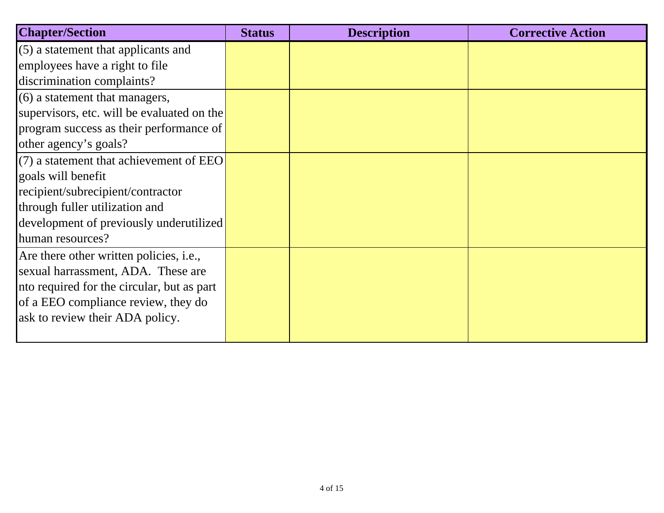| <b>Chapter/Section</b>                     | <b>Status</b> | <b>Description</b> | <b>Corrective Action</b> |
|--------------------------------------------|---------------|--------------------|--------------------------|
| $(5)$ a statement that applicants and      |               |                    |                          |
| employees have a right to file             |               |                    |                          |
| discrimination complaints?                 |               |                    |                          |
| $(6)$ a statement that managers,           |               |                    |                          |
| supervisors, etc. will be evaluated on the |               |                    |                          |
| program success as their performance of    |               |                    |                          |
| other agency's goals?                      |               |                    |                          |
| $(7)$ a statement that achievement of EEO  |               |                    |                          |
| goals will benefit                         |               |                    |                          |
| recipient/subrecipient/contractor          |               |                    |                          |
| through fuller utilization and             |               |                    |                          |
| development of previously underutilized    |               |                    |                          |
| human resources?                           |               |                    |                          |
| Are there other written policies, i.e.,    |               |                    |                          |
| sexual harrassment, ADA. These are         |               |                    |                          |
| nto required for the circular, but as part |               |                    |                          |
| of a EEO compliance review, they do        |               |                    |                          |
| ask to review their ADA policy.            |               |                    |                          |
|                                            |               |                    |                          |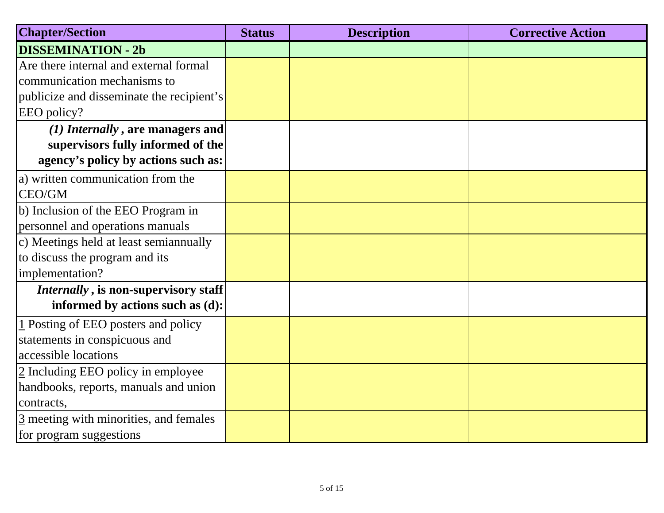| <b>Chapter/Section</b>                             | <b>Status</b> | <b>Description</b> | <b>Corrective Action</b> |
|----------------------------------------------------|---------------|--------------------|--------------------------|
| <b>DISSEMINATION - 2b</b>                          |               |                    |                          |
| Are there internal and external formal             |               |                    |                          |
| communication mechanisms to                        |               |                    |                          |
| publicize and disseminate the recipient's          |               |                    |                          |
| EEO policy?                                        |               |                    |                          |
| (1) Internally, are managers and                   |               |                    |                          |
| supervisors fully informed of the                  |               |                    |                          |
| agency's policy by actions such as:                |               |                    |                          |
| a) written communication from the                  |               |                    |                          |
| CEO/GM                                             |               |                    |                          |
| b) Inclusion of the EEO Program in                 |               |                    |                          |
| personnel and operations manuals                   |               |                    |                          |
| c) Meetings held at least semian nually            |               |                    |                          |
| to discuss the program and its                     |               |                    |                          |
| implementation?                                    |               |                    |                          |
| Internally, is non-supervisory staff               |               |                    |                          |
| informed by actions such as (d):                   |               |                    |                          |
| 1 Posting of EEO posters and policy                |               |                    |                          |
| statements in conspicuous and                      |               |                    |                          |
| accessible locations                               |               |                    |                          |
| 2 Including EEO policy in employee                 |               |                    |                          |
| handbooks, reports, manuals and union              |               |                    |                          |
| contracts,                                         |               |                    |                          |
| $\frac{3}{2}$ meeting with minorities, and females |               |                    |                          |
| for program suggestions                            |               |                    |                          |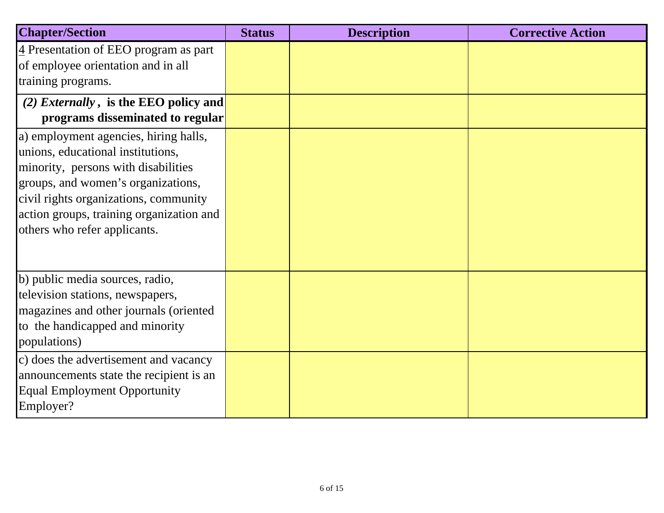| <b>Chapter/Section</b>                                                                                                                                                                                                                                                       | <b>Status</b> | <b>Description</b> | <b>Corrective Action</b> |
|------------------------------------------------------------------------------------------------------------------------------------------------------------------------------------------------------------------------------------------------------------------------------|---------------|--------------------|--------------------------|
| $\frac{4}{5}$ Presentation of EEO program as part<br>of employee orientation and in all<br>training programs.                                                                                                                                                                |               |                    |                          |
| (2) <i>Externally</i> , is the EEO policy and<br>programs disseminated to regular                                                                                                                                                                                            |               |                    |                          |
| a) employment agencies, hiring halls,<br>unions, educational institutions,<br>minority, persons with disabilities<br>groups, and women's organizations,<br>civil rights organizations, community<br>action groups, training organization and<br>others who refer applicants. |               |                    |                          |
| b) public media sources, radio,<br>television stations, newspapers,<br>magazines and other journals (oriented<br>to the handicapped and minority<br>populations)                                                                                                             |               |                    |                          |
| c) does the advertisement and vacancy<br>announcements state the recipient is an<br><b>Equal Employment Opportunity</b><br>Employer?                                                                                                                                         |               |                    |                          |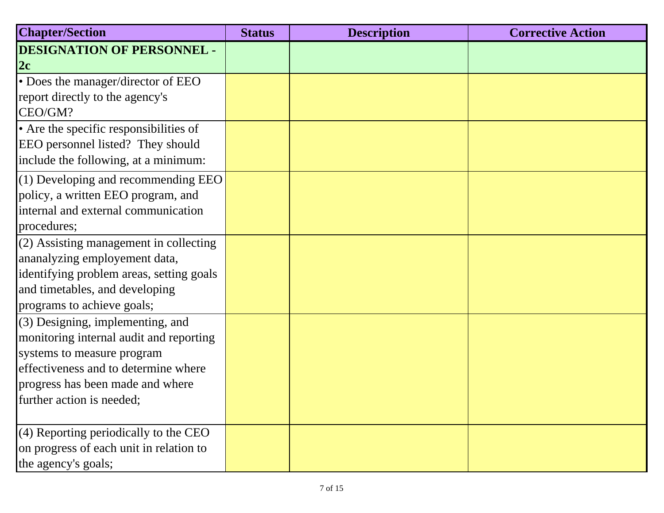| <b>Chapter/Section</b>                                                                                                                                                                                               | <b>Status</b> | <b>Description</b> | <b>Corrective Action</b> |
|----------------------------------------------------------------------------------------------------------------------------------------------------------------------------------------------------------------------|---------------|--------------------|--------------------------|
| <b>DESIGNATION OF PERSONNEL -</b><br>2c                                                                                                                                                                              |               |                    |                          |
| • Does the manager/director of EEO<br>report directly to the agency's<br>CEO/GM?                                                                                                                                     |               |                    |                          |
| • Are the specific responsibilities of<br>EEO personnel listed? They should<br>include the following, at a minimum:                                                                                                  |               |                    |                          |
| $(1)$ Developing and recommending EEO<br>policy, a written EEO program, and<br>internal and external communication<br>procedures;                                                                                    |               |                    |                          |
| (2) Assisting management in collecting<br>ananalyzing employement data,<br>identifying problem areas, setting goals<br>and timetables, and developing<br>programs to achieve goals;                                  |               |                    |                          |
| $(3)$ Designing, implementing, and<br>monitoring internal audit and reporting<br>systems to measure program<br>effectiveness and to determine where<br>progress has been made and where<br>further action is needed; |               |                    |                          |
| $(4)$ Reporting periodically to the CEO<br>on progress of each unit in relation to<br>the agency's goals;                                                                                                            |               |                    |                          |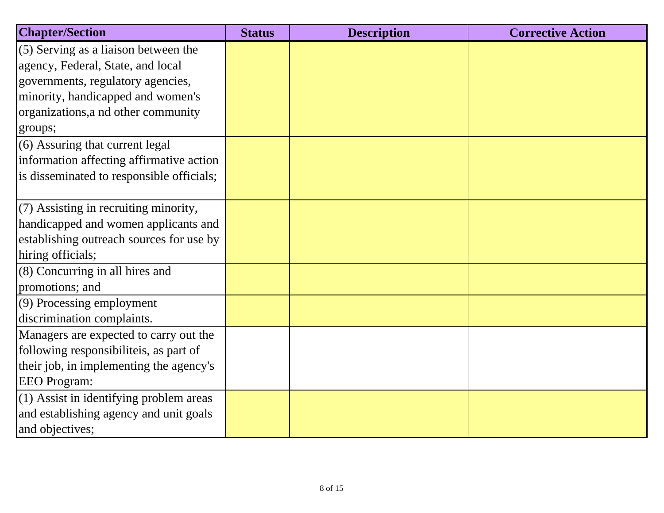| <b>Chapter/Section</b>                    | <b>Status</b> | <b>Description</b> | <b>Corrective Action</b> |
|-------------------------------------------|---------------|--------------------|--------------------------|
| (5) Serving as a liaison between the      |               |                    |                          |
| agency, Federal, State, and local         |               |                    |                          |
| governments, regulatory agencies,         |               |                    |                          |
| minority, handicapped and women's         |               |                    |                          |
| organizations, a nd other community       |               |                    |                          |
| groups;                                   |               |                    |                          |
| (6) Assuring that current legal           |               |                    |                          |
| information affecting affirmative action  |               |                    |                          |
| is disseminated to responsible officials; |               |                    |                          |
|                                           |               |                    |                          |
| (7) Assisting in recruiting minority,     |               |                    |                          |
| handicapped and women applicants and      |               |                    |                          |
| establishing outreach sources for use by  |               |                    |                          |
| hiring officials;                         |               |                    |                          |
| (8) Concurring in all hires and           |               |                    |                          |
| promotions; and                           |               |                    |                          |
| (9) Processing employment                 |               |                    |                          |
| discrimination complaints.                |               |                    |                          |
| Managers are expected to carry out the    |               |                    |                          |
| following responsibiliteis, as part of    |               |                    |                          |
| their job, in implementing the agency's   |               |                    |                          |
| <b>EEO</b> Program:                       |               |                    |                          |
| (1) Assist in identifying problem areas   |               |                    |                          |
| and establishing agency and unit goals    |               |                    |                          |
| and objectives;                           |               |                    |                          |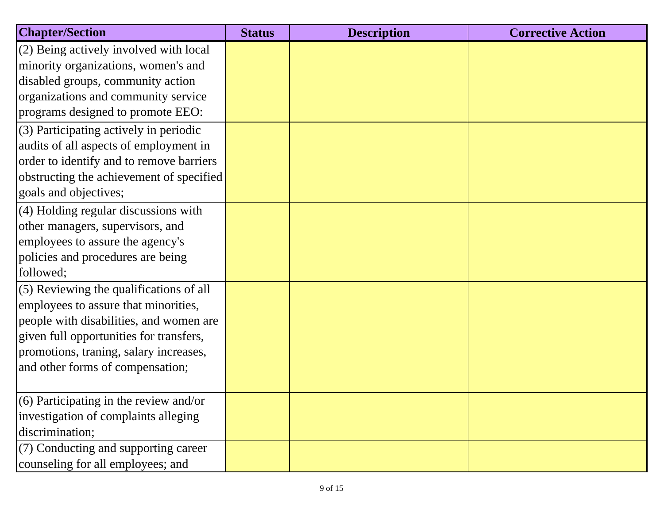| <b>Chapter/Section</b>                   | <b>Status</b> | <b>Description</b> | <b>Corrective Action</b> |
|------------------------------------------|---------------|--------------------|--------------------------|
| $(2)$ Being actively involved with local |               |                    |                          |
| minority organizations, women's and      |               |                    |                          |
| disabled groups, community action        |               |                    |                          |
| organizations and community service      |               |                    |                          |
| programs designed to promote EEO:        |               |                    |                          |
| $(3)$ Participating actively in periodic |               |                    |                          |
| audits of all aspects of employment in   |               |                    |                          |
| order to identify and to remove barriers |               |                    |                          |
| obstructing the achievement of specified |               |                    |                          |
| goals and objectives;                    |               |                    |                          |
| (4) Holding regular discussions with     |               |                    |                          |
| other managers, supervisors, and         |               |                    |                          |
| employees to assure the agency's         |               |                    |                          |
| policies and procedures are being        |               |                    |                          |
| followed;                                |               |                    |                          |
| (5) Reviewing the qualifications of all  |               |                    |                          |
| employees to assure that minorities,     |               |                    |                          |
| people with disabilities, and women are  |               |                    |                          |
| given full opportunities for transfers,  |               |                    |                          |
| promotions, traning, salary increases,   |               |                    |                          |
| and other forms of compensation;         |               |                    |                          |
|                                          |               |                    |                          |
| (6) Participating in the review and/or   |               |                    |                          |
| investigation of complaints alleging     |               |                    |                          |
| discrimination;                          |               |                    |                          |
| (7) Conducting and supporting career     |               |                    |                          |
| counseling for all employees; and        |               |                    |                          |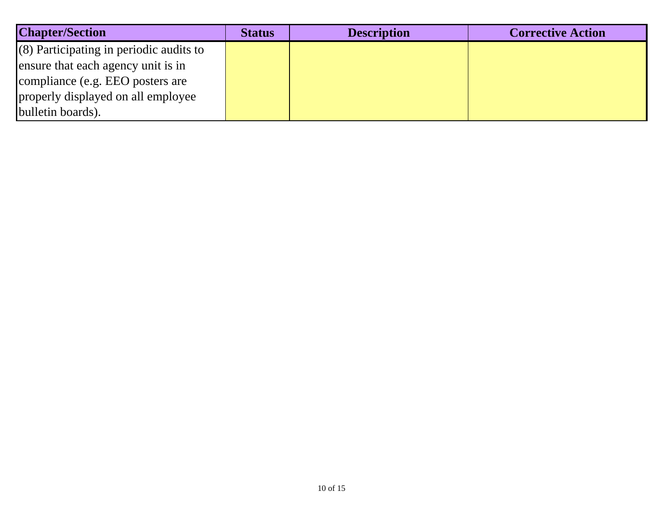| <b>Chapter/Section</b>                    | <b>Status</b> | <b>Description</b> | <b>Corrective Action</b> |
|-------------------------------------------|---------------|--------------------|--------------------------|
| $(8)$ Participating in periodic audits to |               |                    |                          |
| ensure that each agency unit is in        |               |                    |                          |
| compliance (e.g. EEO posters are          |               |                    |                          |
| properly displayed on all employee        |               |                    |                          |
| bulletin boards).                         |               |                    |                          |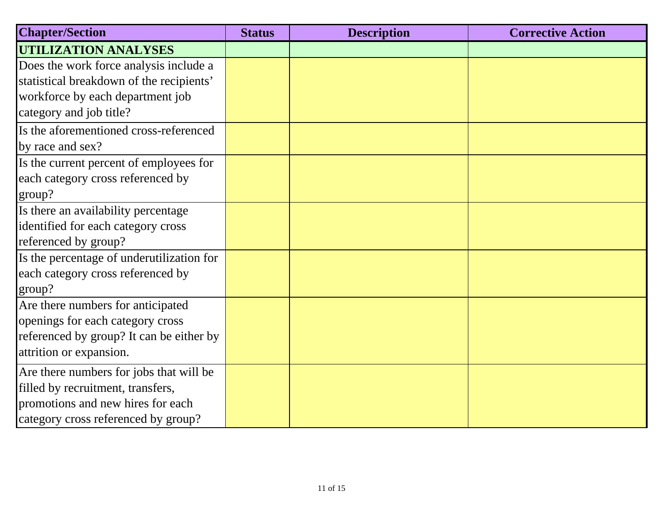| <b>Chapter/Section</b>                    | <b>Status</b> | <b>Description</b> | <b>Corrective Action</b> |
|-------------------------------------------|---------------|--------------------|--------------------------|
| <b>UTILIZATION ANALYSES</b>               |               |                    |                          |
| Does the work force analysis include a    |               |                    |                          |
| statistical breakdown of the recipients'  |               |                    |                          |
| workforce by each department job          |               |                    |                          |
| category and job title?                   |               |                    |                          |
| Is the aforementioned cross-referenced    |               |                    |                          |
| by race and sex?                          |               |                    |                          |
| Is the current percent of employees for   |               |                    |                          |
| each category cross referenced by         |               |                    |                          |
| group?                                    |               |                    |                          |
| Is there an availability percentage       |               |                    |                          |
| identified for each category cross        |               |                    |                          |
| referenced by group?                      |               |                    |                          |
| Is the percentage of underutilization for |               |                    |                          |
| each category cross referenced by         |               |                    |                          |
| group?                                    |               |                    |                          |
| Are there numbers for anticipated         |               |                    |                          |
| openings for each category cross          |               |                    |                          |
| referenced by group? It can be either by  |               |                    |                          |
| attrition or expansion.                   |               |                    |                          |
| Are there numbers for jobs that will be   |               |                    |                          |
| filled by recruitment, transfers,         |               |                    |                          |
| promotions and new hires for each         |               |                    |                          |
| category cross referenced by group?       |               |                    |                          |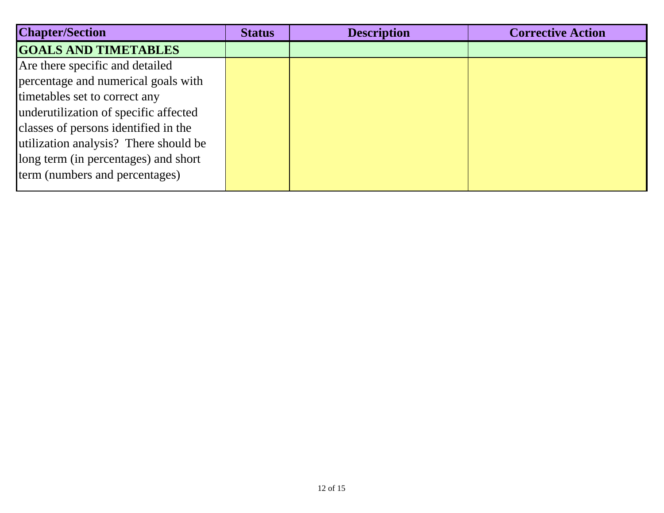| <b>Chapter/Section</b>                | <b>Status</b> | <b>Description</b> | <b>Corrective Action</b> |
|---------------------------------------|---------------|--------------------|--------------------------|
| <b>GOALS AND TIMETABLES</b>           |               |                    |                          |
| Are there specific and detailed       |               |                    |                          |
| percentage and numerical goals with   |               |                    |                          |
| timetables set to correct any         |               |                    |                          |
| underutilization of specific affected |               |                    |                          |
| classes of persons identified in the  |               |                    |                          |
| utilization analysis? There should be |               |                    |                          |
| long term (in percentages) and short  |               |                    |                          |
| term (numbers and percentages)        |               |                    |                          |
|                                       |               |                    |                          |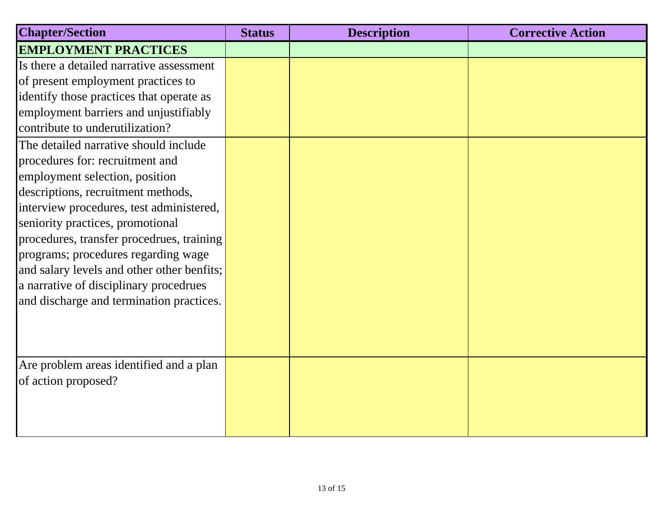| <b>Chapter/Section</b>                     | <b>Status</b> | <b>Description</b> | <b>Corrective Action</b> |
|--------------------------------------------|---------------|--------------------|--------------------------|
| <b>EMPLOYMENT PRACTICES</b>                |               |                    |                          |
| Is there a detailed narrative assessment   |               |                    |                          |
| of present employment practices to         |               |                    |                          |
| identify those practices that operate as   |               |                    |                          |
| employment barriers and unjustifiably      |               |                    |                          |
| contribute to underutilization?            |               |                    |                          |
| The detailed narrative should include      |               |                    |                          |
| procedures for: recruitment and            |               |                    |                          |
| employment selection, position             |               |                    |                          |
| descriptions, recruitment methods,         |               |                    |                          |
| interview procedures, test administered,   |               |                    |                          |
| seniority practices, promotional           |               |                    |                          |
| procedures, transfer procedrues, training  |               |                    |                          |
| programs; procedures regarding wage        |               |                    |                          |
| and salary levels and other other benfits; |               |                    |                          |
| a narrative of disciplinary procedrues     |               |                    |                          |
| and discharge and termination practices.   |               |                    |                          |
|                                            |               |                    |                          |
|                                            |               |                    |                          |
| Are problem areas identified and a plan    |               |                    |                          |
| of action proposed?                        |               |                    |                          |
|                                            |               |                    |                          |
|                                            |               |                    |                          |
|                                            |               |                    |                          |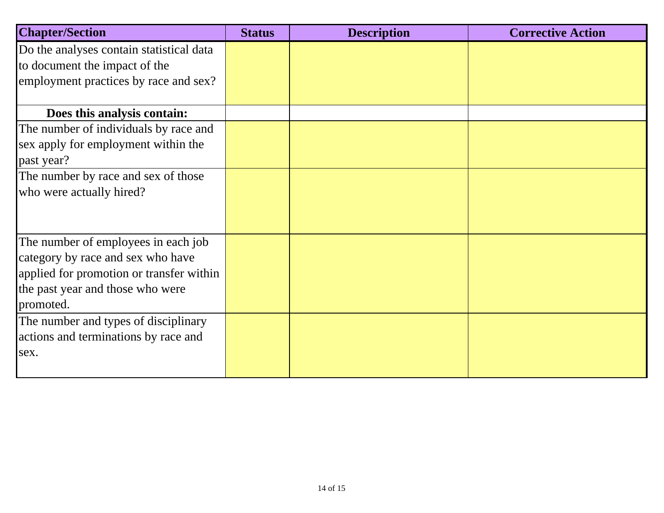| <b>Chapter/Section</b>                   | <b>Status</b> | <b>Description</b> | <b>Corrective Action</b> |
|------------------------------------------|---------------|--------------------|--------------------------|
| Do the analyses contain statistical data |               |                    |                          |
| to document the impact of the            |               |                    |                          |
| employment practices by race and sex?    |               |                    |                          |
| Does this analysis contain:              |               |                    |                          |
| The number of individuals by race and    |               |                    |                          |
| sex apply for employment within the      |               |                    |                          |
| past year?                               |               |                    |                          |
| The number by race and sex of those      |               |                    |                          |
| who were actually hired?                 |               |                    |                          |
|                                          |               |                    |                          |
|                                          |               |                    |                          |
| The number of employees in each job      |               |                    |                          |
| category by race and sex who have        |               |                    |                          |
| applied for promotion or transfer within |               |                    |                          |
| the past year and those who were         |               |                    |                          |
| promoted.                                |               |                    |                          |
| The number and types of disciplinary     |               |                    |                          |
| actions and terminations by race and     |               |                    |                          |
| sex.                                     |               |                    |                          |
|                                          |               |                    |                          |